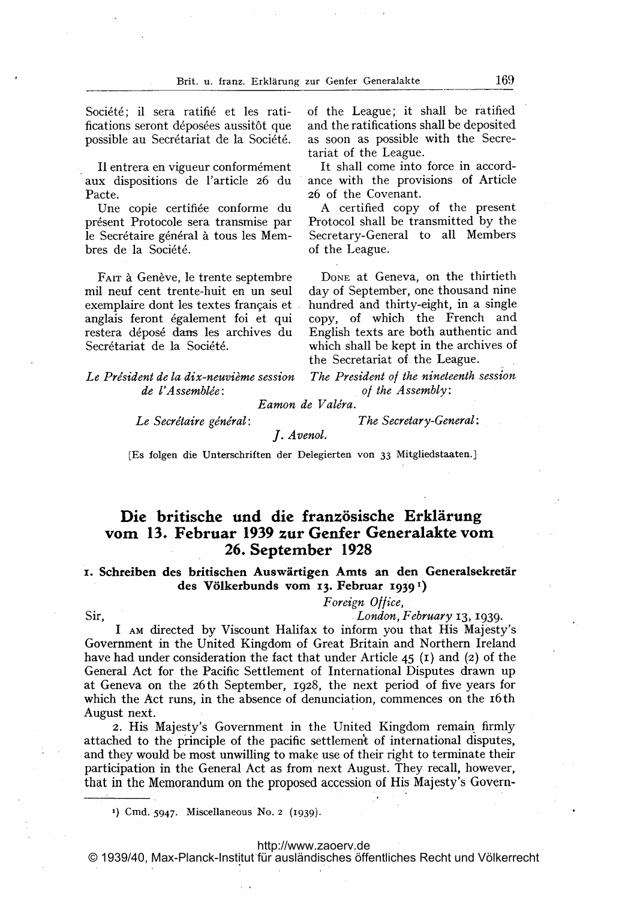Société; il sera ratifié et les ratifications seront déposées aussitôt que possible au Secrétariat de la Société.

Il entrera en vigueur conformément aux dispositions de l'article 26 du Pacte.

Une copie certifiée conforme du présent Protocole sera transmise par le Secrétaire général à tous les Membres de la Société.

FAIT à Genève, le trente septembre mil neuf cent trente-huit en un seul exemplaire dont les textes français et anglais feront également foi et qui restera déposé dans les archives du Secrétariat de la Société.

of the League; it shall be ratified and the ratifications shall be deposited as soon as possible with the Secretariat of the League.

It shall come into force in accordance with the provisions of Article 26 of the Covenant.

A certified copy of the present Protocol shall be transmitted by the Secretary-General to all Members of the League.

DONE at Geneva, on the thirtieth day of September, one thousand nine hundred and thirty-eight, in a single copy, of which the French and English texts are both authentic and which shall be kept in the archives of the Secretariat of the League.

Le Président de la dix-neuvième session de l'Assemblée:

The President of the nineteenth session of the Assembly:

Eamon de Valéra.

Le Secrétaire général:

The Secretary-General:

J. Avenol.

[Es folgen die Unterschriften der Delegierten von 33 Mitgliedstaaten.]

# Die britische und die französische Erklärung vom 13. Februar <sup>1939</sup> zur Genfer Generalakte vom 26. September 1928

#### 1. Schreiben des britischen Auswärtigen Amts an den Generalsekretär des Völkerbunds vom 13. Februar 1939<sup>1</sup>)

### Foreign Ollice,

## Sir, London, February 13, 1939.

<sup>I</sup> Am directed by Viscount Halifax to inform you that His Majesty's Government in the United Kingdom of Great Britain and Northern Ireland have had under consideration the fact that under Article  $45$  (1) and (2) of the General Act for the Pacific Settlement of International Disputes drawn up at Geneva on the 26th September, 1928, the next period of five years for which the Act runs, in the absence of denunciation, commences on the 16th August next.

2. His Majesty's Government in the United Kingdom remain firmly attached to the principle of the pacific settlement of international disputes, and they would be most unwilling to make use of their right to terminate their participation in the General Act as from next August. They recall, however, that in the Memorandum on the proposed accession of His Majesty's Govern-

') Cmd. 5947. Miscellaneous No. <sup>2</sup> (1939).

#### <http://www.zaoerv.de>

© 1939/40, Max-Planck-Institut für ausländisches öffentliches Recht und Völkerrecht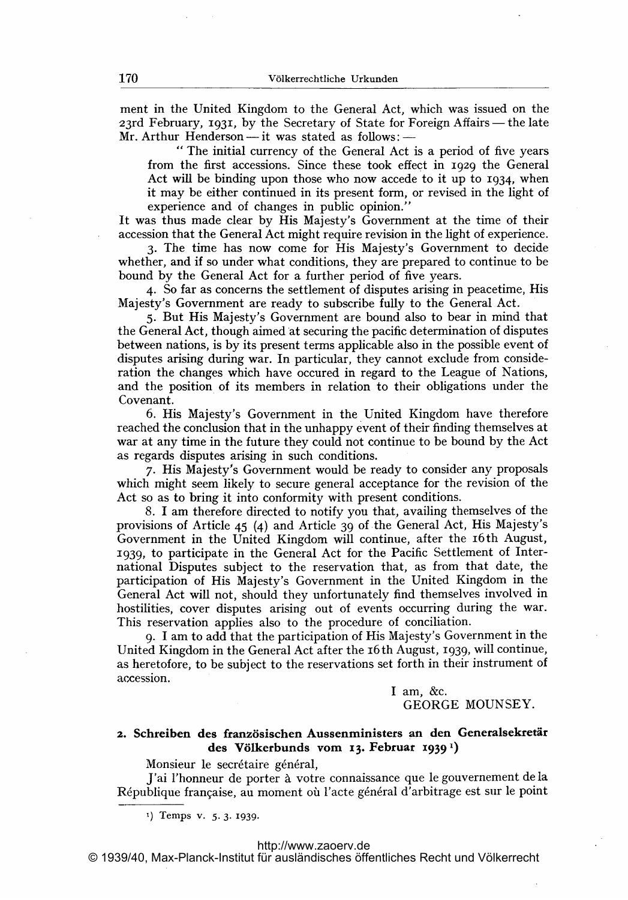ment in the United Kingdom to the General Act, which was issued on the ment in the United Kingdom to the General Act, which was issued on the<br>23rd February, 1931, by the Secretary of State for Foreign Affairs—the late 23rd February, 1931, by the Secretary of State for F<br>Mr. Arthur Henderson—it was stated as follows:—

" The initial currency of the General Act is a period of five years from the first accessions. Since these took effect in 1929 the General Act will be binding upon those who now accede to it up to 1934, when it may be either continued in its present form, or revised in the light of experience and of changes in public opinion."

It was thus made clear by His Majesty's Government at the time of their accession that the General Act might require revision in the light of experience.

3. The time has now come for His Majesty's Government to decide whether, and if so under what conditions, they are prepared to continue to be bound by the General Act for a further period of five years.

4. So far as concerns the settlement of disputes arising in peacetime, His Majesty's Government are ready to subscribe fully to the General Act.

5. But His Majesty's Government are bound also to bear in mind that the General Act, though aimed at securing the pacific determination of disputes between nations, is by its present terms applicable also in the possible event of disputes arising during war. In particular, they cannot exclude from consideration the changes which have occured in regard to the League of Nations, and the position of its members in relation to their obligations under the Covenant.

6. His Majesty's Government in the United Kingdom have therefore reached the conclusion that in the unhappy event of their finding themselves at war at any time in the future they could not continue to be bound by the Act as regards disputes arising in such conditions.

7. His Majesty's Government would be ready to consider any proposals which might seem likely to secure general acceptance for the revision of the Act so as to bring it into conformity with present conditions.

8. <sup>1</sup> am therefore directed to notify you that, availing themselves of the provisions of Article <sup>45</sup> (4) and Article 39 of the General Act, His Majesty's Government in the United Kingdom will continue, after the 16th August, :1939, to participate in the General Act for the Pacific Settlement of International Disputes subject to the reservation that, as from that date, the participation of His Majesty's Government in the United Kingdom in the General Act will not, should they unfortunately find themselves involved in hostilities, cover disputes arising out of events occurring during the war. This reservation applies also to the procedure of conciliation.

9. <sup>1</sup> am to add that the participation of His Majesty's Government in the United Kingdom in the General Act after the 16th August, 1939, will continue, as heretofore, to be subject to the reservations set forth in their instrument of accession.

> I am,  $&c.$ GEORGE MOUNSEY.

## 2. Schreiben des französischen Aussenministers an den Generalsekretär des Völkerbunds vom 13. Februar 1939<sup>1</sup>)

Monsieur le secrétaire général,

J'ai l'honneur de porter à votre connaissance que le gouvernement de la République française, au moment où l'acte général d'arbitrage est sur le point

1) Temps v. 5.3-1939.